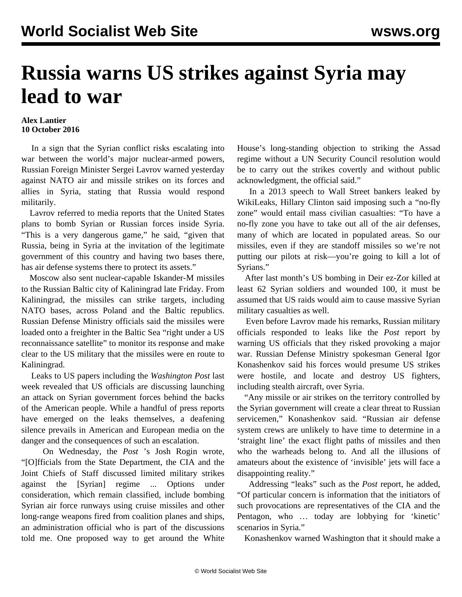## **Russia warns US strikes against Syria may lead to war**

## **Alex Lantier 10 October 2016**

 In a sign that the Syrian conflict risks escalating into war between the world's major nuclear-armed powers, Russian Foreign Minister Sergei Lavrov warned yesterday against NATO air and missile strikes on its forces and allies in Syria, stating that Russia would respond militarily.

 Lavrov referred to media reports that the United States plans to bomb Syrian or Russian forces inside Syria. "This is a very dangerous game," he said, "given that Russia, being in Syria at the invitation of the legitimate government of this country and having two bases there, has air defense systems there to protect its assets."

 Moscow also sent nuclear-capable Iskander-M missiles to the Russian Baltic city of Kaliningrad late Friday. From Kaliningrad, the missiles can strike targets, including NATO bases, across Poland and the Baltic republics. Russian Defense Ministry officials said the missiles were loaded onto a freighter in the Baltic Sea "right under a US reconnaissance satellite" to monitor its response and make clear to the US military that the missiles were en route to Kaliningrad.

 Leaks to US papers including the *Washington Post* last week revealed that US officials are discussing launching an attack on Syrian government forces behind the backs of the American people. While a handful of press reports have emerged on the leaks themselves, a deafening silence prevails in American and European media on the danger and the consequences of such an escalation.

 On Wednesday, the *Post* 's Josh Rogin wrote, "[O]fficials from the State Department, the CIA and the Joint Chiefs of Staff discussed limited military strikes against the [Syrian] regime ... Options under consideration, which remain classified, include bombing Syrian air force runways using cruise missiles and other long-range weapons fired from coalition planes and ships, an administration official who is part of the discussions told me. One proposed way to get around the White House's long-standing objection to striking the Assad regime without a UN Security Council resolution would be to carry out the strikes covertly and without public acknowledgment, the official said."

 In a 2013 speech to Wall Street bankers leaked by WikiLeaks, Hillary Clinton said imposing such a "no-fly zone" would entail mass civilian casualties: "To have a no-fly zone you have to take out all of the air defenses, many of which are located in populated areas. So our missiles, even if they are standoff missiles so we're not putting our pilots at risk—you're going to kill a lot of Syrians."

 After last month's US bombing in Deir ez-Zor killed at least 62 Syrian soldiers and wounded 100, it must be assumed that US raids would aim to cause massive Syrian military casualties as well.

 Even before Lavrov made his remarks, Russian military officials responded to leaks like the *Post* report by warning US officials that they risked provoking a major war. Russian Defense Ministry spokesman General Igor Konashenkov said his forces would presume US strikes were hostile, and locate and destroy US fighters, including stealth aircraft, over Syria.

 "Any missile or air strikes on the territory controlled by the Syrian government will create a clear threat to Russian servicemen," Konashenkov said. "Russian air defense system crews are unlikely to have time to determine in a 'straight line' the exact flight paths of missiles and then who the warheads belong to. And all the illusions of amateurs about the existence of 'invisible' jets will face a disappointing reality."

 Addressing "leaks" such as the *Post* report, he added, "Of particular concern is information that the initiators of such provocations are representatives of the CIA and the Pentagon, who … today are lobbying for 'kinetic' scenarios in Syria."

Konashenkov warned Washington that it should make a